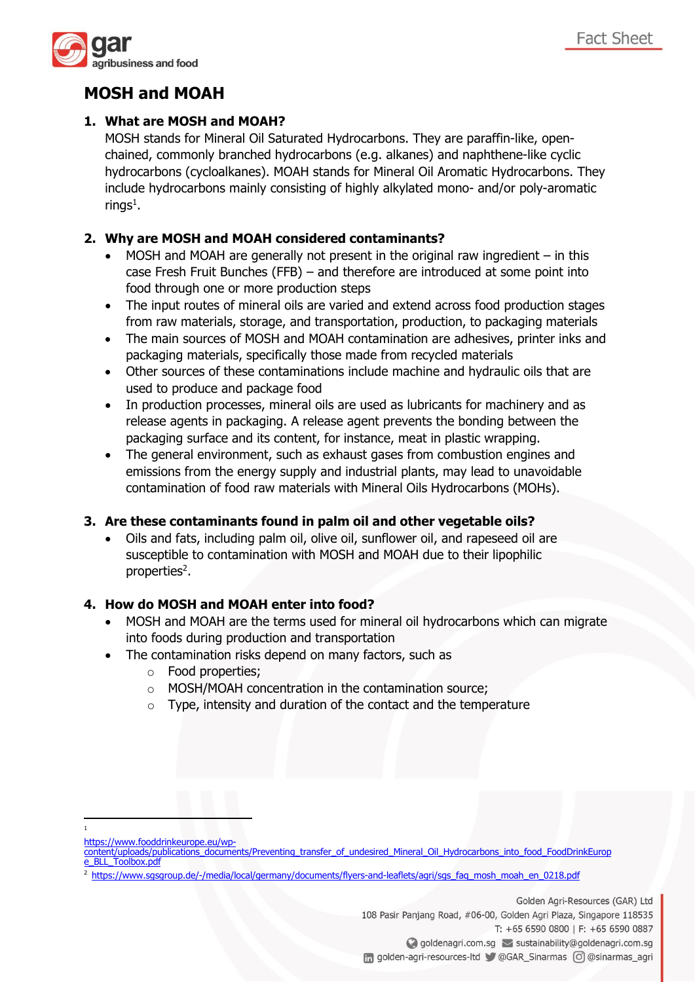

# **MOSH and MOAH**

## **1. What are MOSH and MOAH?**

MOSH stands for Mineral Oil Saturated Hydrocarbons. They are paraffin-like, openchained, commonly branched hydrocarbons (e.g. alkanes) and naphthene-like cyclic hydrocarbons (cycloalkanes). MOAH stands for Mineral Oil Aromatic Hydrocarbons. They include hydrocarbons mainly consisting of highly alkylated mono- and/or poly-aromatic rings $^1$ .

## **2. Why are MOSH and MOAH considered contaminants?**

- MOSH and MOAH are generally not present in the original raw ingredient  $-$  in this case Fresh Fruit Bunches (FFB) – and therefore are introduced at some point into food through one or more production steps
- The input routes of mineral oils are varied and extend across food production stages from raw materials, storage, and transportation, production, to packaging materials
- The main sources of MOSH and MOAH contamination are adhesives, printer inks and packaging materials, specifically those made from recycled materials
- Other sources of these contaminations include machine and hydraulic oils that are used to produce and package food
- In production processes, mineral oils are used as lubricants for machinery and as release agents in packaging. A release agent prevents the bonding between the packaging surface and its content, for instance, meat in plastic wrapping.
- The general environment, such as exhaust gases from combustion engines and emissions from the energy supply and industrial plants, may lead to unavoidable contamination of food raw materials with Mineral Oils Hydrocarbons (MOHs).

## **3. Are these contaminants found in palm oil and other vegetable oils?**

• Oils and fats, including palm oil, olive oil, sunflower oil, and rapeseed oil are susceptible to contamination with MOSH and MOAH due to their lipophilic properties<sup>2</sup>.

## **4. How do MOSH and MOAH enter into food?**

- MOSH and MOAH are the terms used for mineral oil hydrocarbons which can migrate into foods during production and transportation
- The contamination risks depend on many factors, such as
	- o Food properties;
	- o MOSH/MOAH concentration in the contamination source;
	- $\circ$  Type, intensity and duration of the contact and the temperature

1

<sup>2</sup> [https://www.sgsgroup.de/-/media/local/germany/documents/flyers-and-leaflets/agri/sgs\\_faq\\_mosh\\_moah\\_en\\_0218.pdf](https://www.sgsgroup.de/-/media/local/germany/documents/flyers-and-leaflets/agri/sgs_faq_mosh_moah_en_0218.pdf)

Golden Agri-Resources (GAR) Ltd 108 Pasir Panjang Road, #06-00, Golden Agri Plaza, Singapore 118535 T: +65 6590 0800 | F: +65 6590 0887 ◯ goldenagri.com.sq ≤ sustainability@goldenagri.com.sq n golden-agri-resources-ltd @GAR Sinarmas o @Sinarmas agri

[https://www.fooddrinkeurope.eu/wp-](https://www.fooddrinkeurope.eu/wp-content/uploads/publications_documents/Preventing_transfer_of_undesired_Mineral_Oil_Hydrocarbons_into_food_FoodDrinkEurope_BLL_Toolbox.pdf)

[content/uploads/publications\\_documents/Preventing\\_transfer\\_of\\_undesired\\_Mineral\\_Oil\\_Hydrocarbons\\_into\\_food\\_FoodDrinkEurop](https://www.fooddrinkeurope.eu/wp-content/uploads/publications_documents/Preventing_transfer_of_undesired_Mineral_Oil_Hydrocarbons_into_food_FoodDrinkEurope_BLL_Toolbox.pdf) [e\\_BLL\\_Toolbox.pdf](https://www.fooddrinkeurope.eu/wp-content/uploads/publications_documents/Preventing_transfer_of_undesired_Mineral_Oil_Hydrocarbons_into_food_FoodDrinkEurope_BLL_Toolbox.pdf)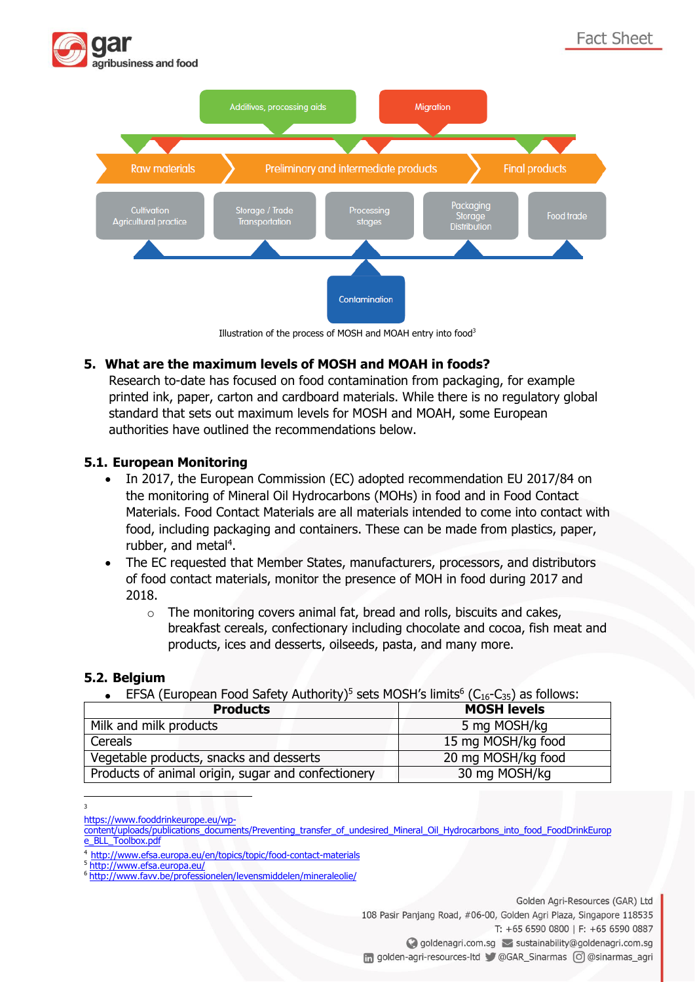

Illustration of the process of MOSH and MOAH entry into food<sup>3</sup>

### **5. What are the maximum levels of MOSH and MOAH in foods?**

Research to-date has focused on food contamination from packaging, for example printed ink, paper, carton and cardboard materials. While there is no regulatory global standard that sets out maximum levels for MOSH and MOAH, some European authorities have outlined the recommendations below.

#### **5.1. European Monitoring**

- In 2017, the European Commission (EC) adopted recommendation EU 2017/84 on the monitoring of Mineral Oil Hydrocarbons (MOHs) in food and in Food Contact Materials. Food Contact Materials are all materials intended to come into contact with food, including packaging and containers. These can be made from plastics, paper, rubber, and metal<sup>4</sup>.
- The EC requested that Member States, manufacturers, processors, and distributors of food contact materials, monitor the presence of MOH in food during 2017 and 2018.
	- o The monitoring covers animal fat, bread and rolls, biscuits and cakes, breakfast cereals, confectionary including chocolate and cocoa, fish meat and products, ices and desserts, oilseeds, pasta, and many more.

#### **5.2. Belgium**

• EFSA (European Food Safety Authority)<sup>5</sup> sets MOSH's limits<sup>6</sup> (C<sub>16</sub>-C<sub>35</sub>) as follows:

| <b>Products</b>                                    | <b>MOSH levels</b> |
|----------------------------------------------------|--------------------|
| Milk and milk products                             | 5 mg MOSH/kg       |
| Cereals                                            | 15 mg MOSH/kg food |
| Vegetable products, snacks and desserts            | 20 mg MOSH/kg food |
| Products of animal origin, sugar and confectionery | 30 mg MOSH/kg      |

<sup>3</sup> 

[https://www.fooddrinkeurope.eu/wp-](https://www.fooddrinkeurope.eu/wp-content/uploads/publications_documents/Preventing_transfer_of_undesired_Mineral_Oil_Hydrocarbons_into_food_FoodDrinkEurope_BLL_Toolbox.pdf)

Golden Agri-Resources (GAR) Ltd 108 Pasir Panjang Road, #06-00, Golden Agri Plaza, Singapore 118535 T: +65 6590 0800 | F: +65 6590 0887 ◯ goldenagri.com.sq > sustainability@goldenagri.com.sq n golden-agri-resources-ltd @GAR Sinarmas o @Sinarmas agri

[content/uploads/publications\\_documents/Preventing\\_transfer\\_of\\_undesired\\_Mineral\\_Oil\\_Hydrocarbons\\_into\\_food\\_FoodDrinkEurop](https://www.fooddrinkeurope.eu/wp-content/uploads/publications_documents/Preventing_transfer_of_undesired_Mineral_Oil_Hydrocarbons_into_food_FoodDrinkEurope_BLL_Toolbox.pdf) [e\\_BLL\\_Toolbox.pdf](https://www.fooddrinkeurope.eu/wp-content/uploads/publications_documents/Preventing_transfer_of_undesired_Mineral_Oil_Hydrocarbons_into_food_FoodDrinkEurope_BLL_Toolbox.pdf)

<sup>4</sup> <http://www.efsa.europa.eu/en/topics/topic/food-contact-materials>

<sup>5</sup> <http://www.efsa.europa.eu/>

<sup>6</sup> <http://www.favv.be/professionelen/levensmiddelen/mineraleolie/>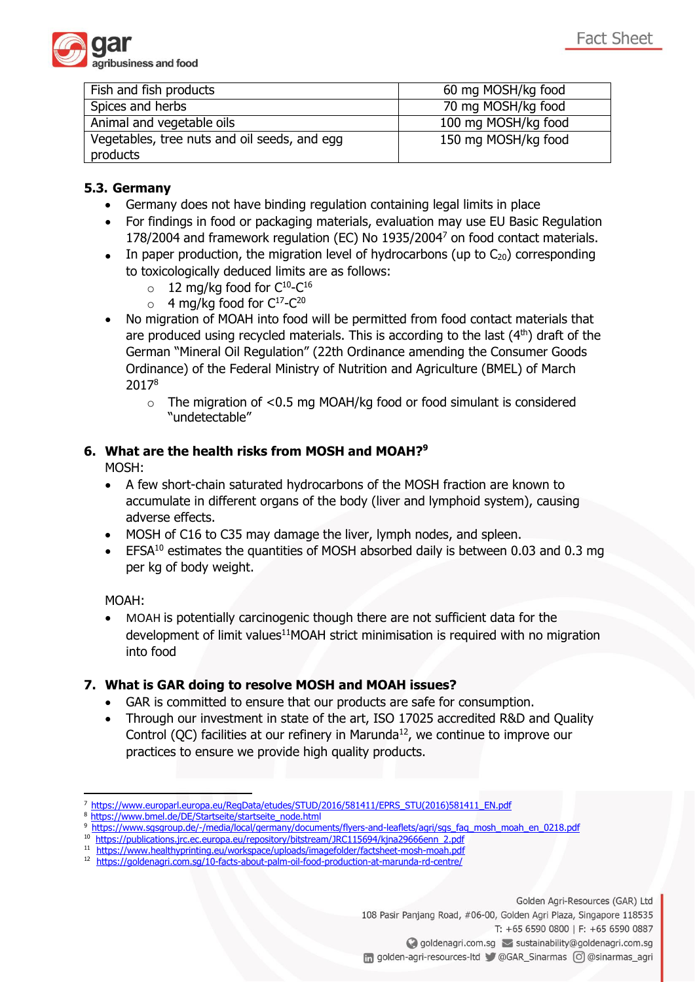

| Fish and fish products                       | 60 mg MOSH/kg food  |
|----------------------------------------------|---------------------|
| Spices and herbs                             | 70 mg MOSH/kg food  |
| Animal and vegetable oils                    | 100 mg MOSH/kg food |
| Vegetables, tree nuts and oil seeds, and egg | 150 mg MOSH/kg food |
| products                                     |                     |

## **5.3. Germany**

- Germany does not have binding regulation containing legal limits in place
- For findings in food or packaging materials, evaluation may use EU Basic Regulation 178/2004 and framework regulation (EC) No 1935/2004<sup>7</sup> on food contact materials.
- In paper production, the migration level of hydrocarbons (up to  $C_{20}$ ) corresponding to toxicologically deduced limits are as follows:
	- 12 mg/kg food for  $C^{10}-C^{16}$ <br>○ 4 mg/kg food for  $C^{17}-C^{20}$
	- 4 mg/kg food for  $C^{17}-C^{20}$
- No migration of MOAH into food will be permitted from food contact materials that are produced using recycled materials. This is according to the last  $(4<sup>th</sup>)$  draft of the German "Mineral Oil Regulation" (22th Ordinance amending the Consumer Goods Ordinance) of the Federal Ministry of Nutrition and Agriculture (BMEL) of March 2017<sup>8</sup>
	- $\circ$  The migration of <0.5 mg MOAH/kg food or food simulant is considered "undetectable"

## **6. What are the health risks from MOSH and MOAH?<sup>9</sup>**

MOSH:

- A few short-chain saturated hydrocarbons of the MOSH fraction are known to accumulate in different organs of the body (liver and lymphoid system), causing adverse effects.
- MOSH of C16 to C35 may damage the liver, lymph nodes, and spleen.
- EFSA<sup>10</sup> estimates the quantities of MOSH absorbed daily is between 0.03 and 0.3 mg per kg of body weight.

MOAH:

• MOAH is potentially carcinogenic though there are not sufficient data for the development of limit values<sup>11</sup>MOAH strict minimisation is required with no migration into food

#### **7. What is GAR doing to resolve MOSH and MOAH issues?**

- GAR is committed to ensure that our products are safe for consumption.
- Through our investment in state of the art, ISO 17025 accredited R&D and Quality Control (QC) facilities at our refinery in Marunda<sup>12</sup>, we continue to improve our practices to ensure we provide high quality products.

Golden Agri-Resources (GAR) Ltd 108 Pasir Panjang Road, #06-00, Golden Agri Plaza, Singapore 118535 T: +65 6590 0800 | F: +65 6590 0887

◯ goldenagri.com.sq > sustainability@goldenagri.com.sq

n golden-agri-resources-ltd @GAR Sinarmas o @Sinarmas agri

[https://www.europarl.europa.eu/RegData/etudes/STUD/2016/581411/EPRS\\_STU\(2016\)581411\\_EN.pdf](https://www.europarl.europa.eu/RegData/etudes/STUD/2016/581411/EPRS_STU(2016)581411_EN.pdf)

[https://www.bmel.de/DE/Startseite/startseite\\_node.html](https://www.bmel.de/DE/Startseite/startseite_node.html)

<sup>9</sup> [https://www.sgsgroup.de/-/media/local/germany/documents/flyers-and-leaflets/agri/sgs\\_faq\\_mosh\\_moah\\_en\\_0218.pdf](https://www.sgsgroup.de/-/media/local/germany/documents/flyers-and-leaflets/agri/sgs_faq_mosh_moah_en_0218.pdf)

<sup>10</sup> [https://publications.jrc.ec.europa.eu/repository/bitstream/JRC115694/kjna29666enn\\_2.pdf](https://publications.jrc.ec.europa.eu/repository/bitstream/JRC115694/kjna29666enn_2.pdf)

<sup>11</sup> <https://www.healthyprinting.eu/workspace/uploads/imagefolder/factsheet-mosh-moah.pdf>

<sup>12</sup> <https://goldenagri.com.sg/10-facts-about-palm-oil-food-production-at-marunda-rd-centre/>